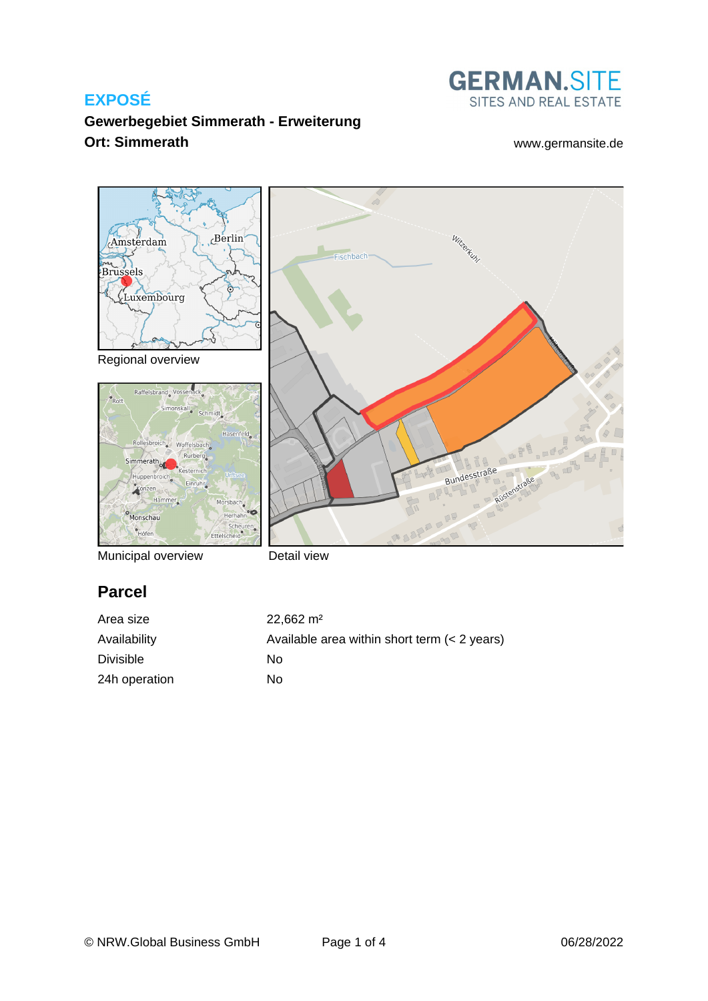

## **Gewerbegebiet Simmerath - Erweiterung Ort: Simmerath** [www.germansite.de](http://www.germansite.de)



Municipal overview

Detail view

# **Parcel**

| Area size        | $22.662 \text{ m}^2$                         |
|------------------|----------------------------------------------|
| Availability     | Available area within short term (< 2 years) |
| <b>Divisible</b> | Nο                                           |
| 24h operation    | Nο                                           |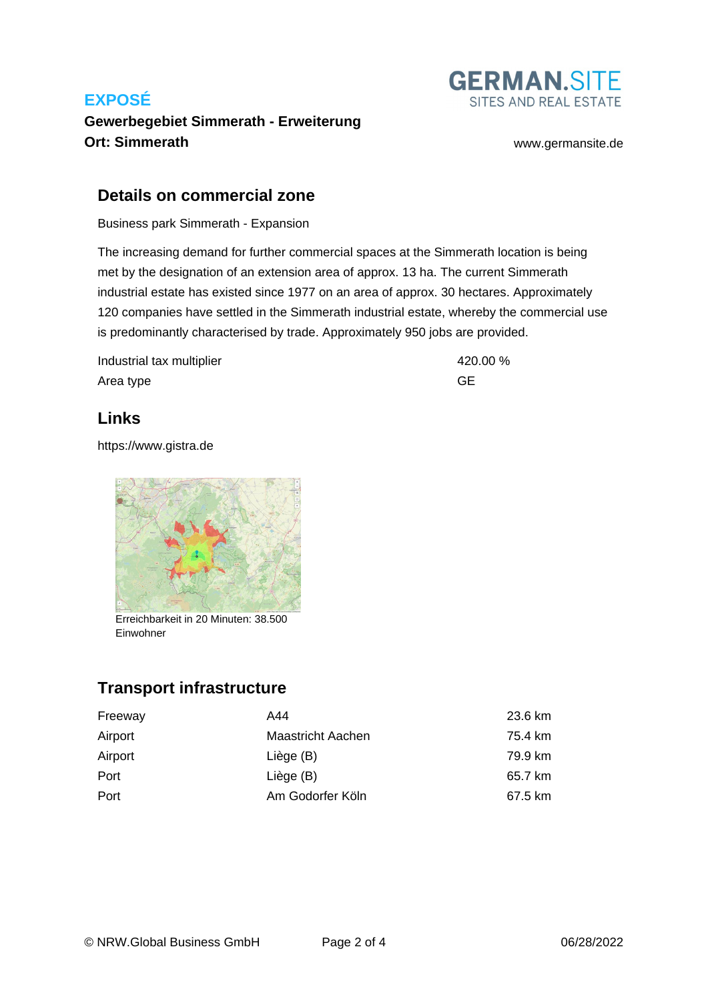

# **Gewerbegebiet Simmerath - Erweiterung Ort: Simmerath** [www.germansite.de](http://www.germansite.de)

#### **Details on commercial zone**

Business park Simmerath - Expansion

The increasing demand for further commercial spaces at the Simmerath location is being met by the designation of an extension area of approx. 13 ha. The current Simmerath industrial estate has existed since 1977 on an area of approx. 30 hectares. Approximately 120 companies have settled in the Simmerath industrial estate, whereby the commercial use is predominantly characterised by trade. Approximately 950 jobs are provided.

Industrial tax multiplier 420.00 % Area type GE

## **Links**

<https://www.gistra.de>



Erreichbarkeit in 20 Minuten: 38.500 Einwohner

# **Transport infrastructure**

| Freeway | A44               | 23.6 km |
|---------|-------------------|---------|
| Airport | Maastricht Aachen | 75.4 km |
| Airport | Liège (B)         | 79.9 km |
| Port    | Liège (B)         | 65.7 km |
| Port    | Am Godorfer Köln  | 67.5 km |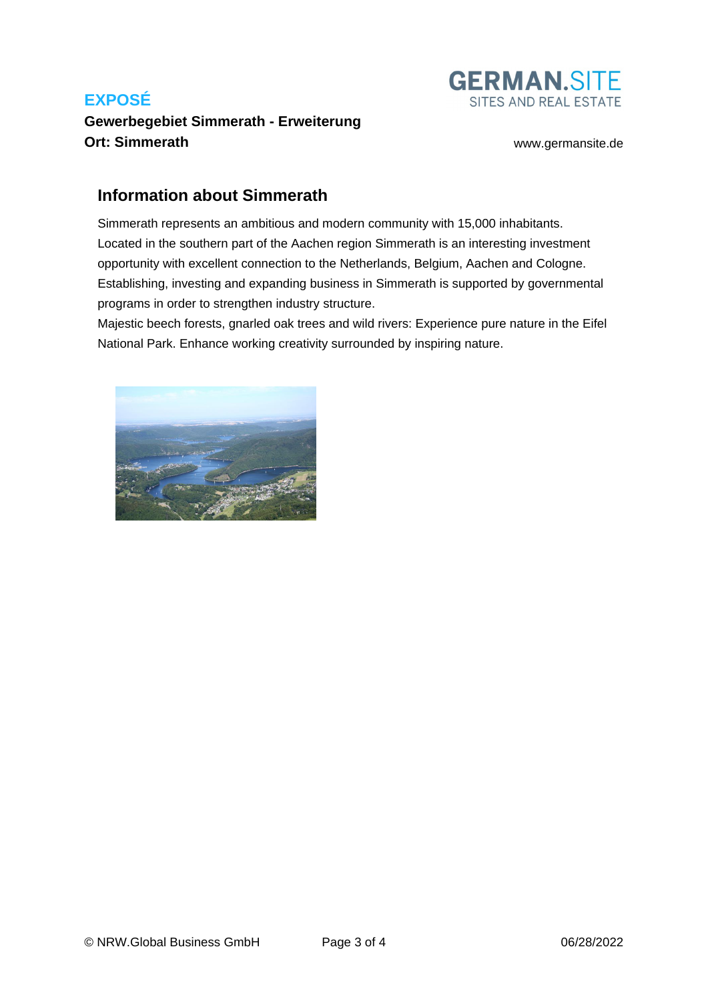# **Gewerbegebiet Simmerath - Erweiterung Ort: Simmerath** [www.germansite.de](http://www.germansite.de)



## **Information about Simmerath**

Simmerath represents an ambitious and modern community with 15,000 inhabitants. Located in the southern part of the Aachen region Simmerath is an interesting investment opportunity with excellent connection to the Netherlands, Belgium, Aachen and Cologne. Establishing, investing and expanding business in Simmerath is supported by governmental programs in order to strengthen industry structure.

Majestic beech forests, gnarled oak trees and wild rivers: Experience pure nature in the Eifel National Park. Enhance working creativity surrounded by inspiring nature.